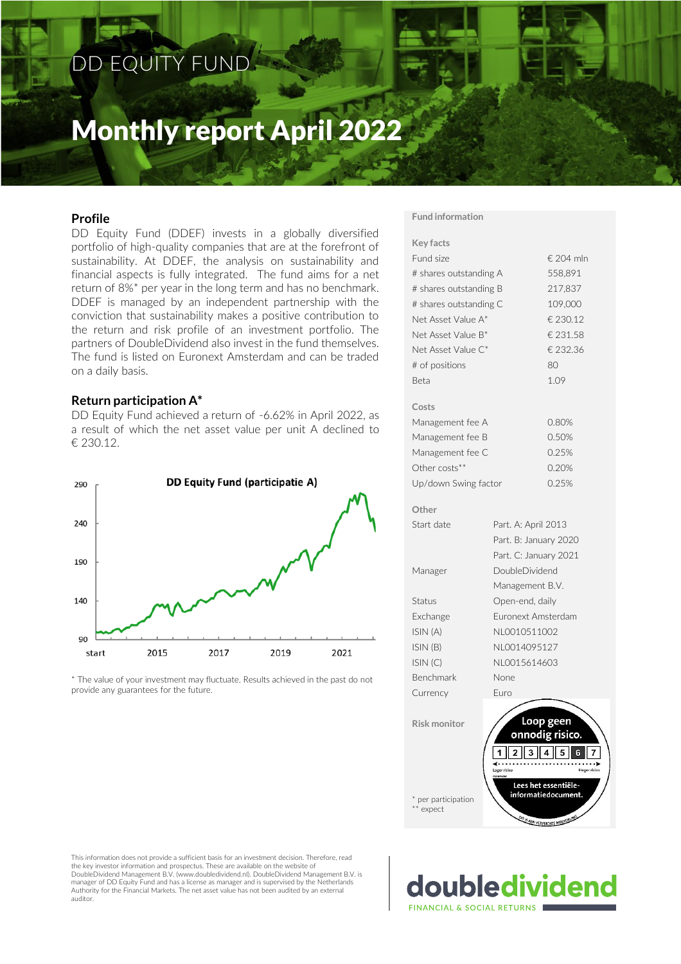# DD EQUITY FUND

# Monthly report April 2022

# **Profile**

DD Equity Fund (DDEF) invests in a globally diversified portfolio of high-quality companies that are at the forefront of sustainability. At DDEF, the analysis on sustainability and financial aspects is fully integrated. The fund aims for a net return of 8%\* per year in the long term and has no benchmark. DDEF is managed by an independent partnership with the conviction that sustainability makes a positive contribution to the return and risk profile of an investment portfolio. The partners of DoubleDividend also invest in the fund themselves. The fund is listed on Euronext Amsterdam and can be traded on a daily basis.

#### **Return participation A\***

DD Equity Fund achieved a return of -6.62% in April 2022, as a result of which the net asset value per unit A declined to € 230.12.



\* The value of your investment may fluctuate. Results achieved in the past do not provide any guarantees for the future.

#### **Fund information**

| <b>Key facts</b>       |                     |                                             |  |  |  |
|------------------------|---------------------|---------------------------------------------|--|--|--|
| Fund size              |                     | € 204 mln                                   |  |  |  |
| # shares outstanding A |                     | 558,891                                     |  |  |  |
| # shares outstanding B | 217,837             |                                             |  |  |  |
| # shares outstanding C | 109,000             |                                             |  |  |  |
| Net Asset Value A*     | € 230.12            |                                             |  |  |  |
| Net Asset Value B*     |                     | € 231.58                                    |  |  |  |
| Net Asset Value C*     |                     | € 232.36                                    |  |  |  |
| # of positions         |                     | 80                                          |  |  |  |
| <b>Beta</b>            |                     | 1.09                                        |  |  |  |
| Costs                  |                     |                                             |  |  |  |
| Management fee A       |                     | 0.80%                                       |  |  |  |
| Management fee B       |                     | 0.50%                                       |  |  |  |
| Management fee C       |                     | 0.25%                                       |  |  |  |
| Other costs**          |                     | 0.20%                                       |  |  |  |
| Up/down Swing factor   |                     | 0.25%                                       |  |  |  |
| Other                  |                     |                                             |  |  |  |
| Start date             | Part. A: April 2013 |                                             |  |  |  |
|                        |                     | Part. B: January 2020                       |  |  |  |
|                        |                     | Part. C: January 2021                       |  |  |  |
| Manager                | DoubleDividend      |                                             |  |  |  |
|                        | Management B.V.     |                                             |  |  |  |
| Status                 | Open-end, daily     |                                             |  |  |  |
| Exchange               | Euronext Amsterdam  |                                             |  |  |  |
| ISIN (A)               | NL0010511002        |                                             |  |  |  |
| ISIN (B)               | NL0014095127        |                                             |  |  |  |
| ISIN(C)                | NL0015614603        |                                             |  |  |  |
| Benchmark              | None                |                                             |  |  |  |
| Currency               | Furo                |                                             |  |  |  |
|                        |                     |                                             |  |  |  |
| <b>Risk monitor</b>    |                     | Loop geen                                   |  |  |  |
|                        |                     | onnodig risico.                             |  |  |  |
|                        | .                   |                                             |  |  |  |
|                        | Lager risico        | <b>Hoger</b> risic                          |  |  |  |
| * per participation    |                     | Lees het essentiële-<br>informatiedocument. |  |  |  |
| ** expect              | DIT IS EEM          | <b>FOEDELING</b>                            |  |  |  |

This information does not provide a sufficient basis for an investment decision. Therefore, read the key investor information and prospectus. These are available on the website of DoubleDividend Management B.V. (www.doubledividend.nl). DoubleDividend Management B.V. is manager of DD Equity Fund and has a license as manager and is supervised by the Netherlands Authority for the Financial Markets. The net asset value has not been audited by an external auditor.

\*\* estimated**FINANCIAL & SOCIAL RETURNS**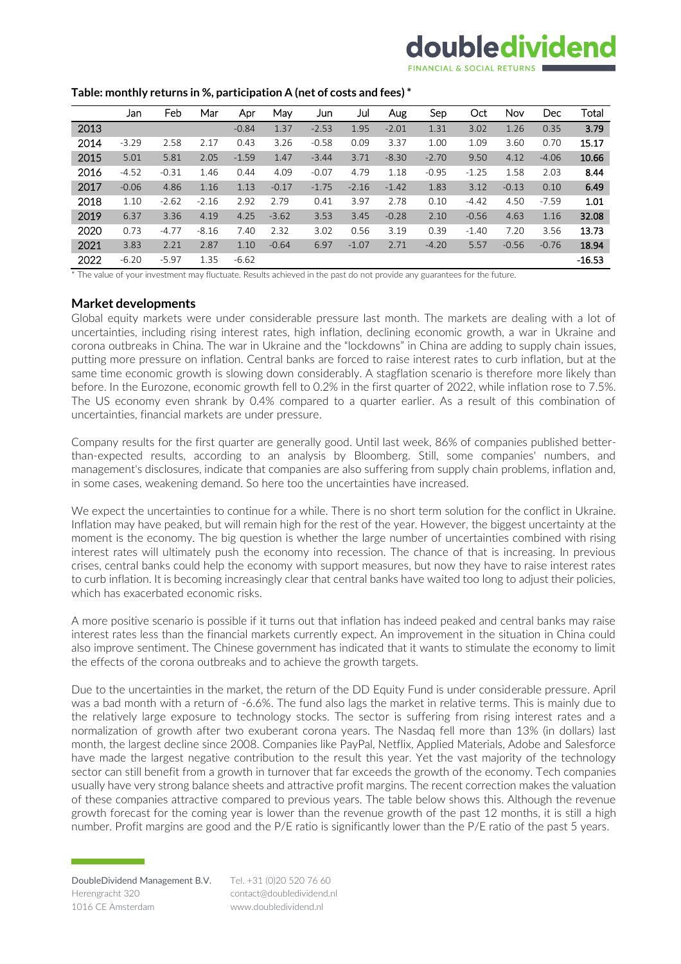# doubledividend

#### **Table: monthly returns in %, participation A (net of costs and fees) \***

|      | Jan     | Feb     | Mar     | Apr     | May     | Jun     | Jul     | Aug     | Sep     | Oct     | Nov     | Dec     | Total    |
|------|---------|---------|---------|---------|---------|---------|---------|---------|---------|---------|---------|---------|----------|
| 2013 |         |         |         | $-0.84$ | 1.37    | $-2.53$ | 1.95    | $-2.01$ | 1.31    | 3.02    | 1.26    | 0.35    | 3.79     |
| 2014 | $-3.29$ | 2.58    | 2.17    | 0.43    | 3.26    | $-0.58$ | 0.09    | 3.37    | 1.00    | 1.09    | 3.60    | 0.70    | 15.17    |
| 2015 | 5.01    | 5.81    | 2.05    | $-1.59$ | 1.47    | $-3.44$ | 3.71    | $-8.30$ | $-2.70$ | 9.50    | 4.12    | $-4.06$ | 10.66    |
| 2016 | $-4.52$ | $-0.31$ | 1.46    | 0.44    | 4.09    | $-0.07$ | 4.79    | 1.18    | $-0.95$ | $-1.25$ | 1.58    | 2.03    | 8.44     |
| 2017 | $-0.06$ | 4.86    | 1.16    | 1.13    | $-0.17$ | $-1.75$ | $-2.16$ | $-1.42$ | 1.83    | 3.12    | $-0.13$ | 0.10    | 6.49     |
| 2018 | 1.10    | $-2.62$ | $-2.16$ | 2.92    | 2.79    | 0.41    | 3.97    | 2.78    | 0.10    | $-4.42$ | 4.50    | $-7.59$ | 1.01     |
| 2019 | 6.37    | 3.36    | 4.19    | 4.25    | $-3.62$ | 3.53    | 3.45    | $-0.28$ | 2.10    | $-0.56$ | 4.63    | 1.16    | 32.08    |
| 2020 | 0.73    | $-4.77$ | $-8.16$ | 7.40    | 2.32    | 3.02    | 0.56    | 3.19    | 0.39    | $-1.40$ | 7.20    | 3.56    | 13.73    |
| 2021 | 3.83    | 2.21    | 2.87    | 1.10    | $-0.64$ | 6.97    | $-1.07$ | 2.71    | $-4.20$ | 5.57    | $-0.56$ | $-0.76$ | 18.94    |
| 2022 | $-6.20$ | $-5.97$ | 1.35    | $-6.62$ |         |         |         |         |         |         |         |         | $-16.53$ |

\* The value of your investment may fluctuate. Results achieved in the past do not provide any guarantees for the future.

#### **Market developments**

Global equity markets were under considerable pressure last month. The markets are dealing with a lot of uncertainties, including rising interest rates, high inflation, declining economic growth, a war in Ukraine and corona outbreaks in China. The war in Ukraine and the "lockdowns" in China are adding to supply chain issues, putting more pressure on inflation. Central banks are forced to raise interest rates to curb inflation, but at the same time economic growth is slowing down considerably. A stagflation scenario is therefore more likely than before. In the Eurozone, economic growth fell to 0.2% in the first quarter of 2022, while inflation rose to 7.5%. The US economy even shrank by 0.4% compared to a quarter earlier. As a result of this combination of uncertainties, financial markets are under pressure.

Company results for the first quarter are generally good. Until last week, 86% of companies published betterthan-expected results, according to an analysis by Bloomberg. Still, some companies' numbers, and management's disclosures, indicate that companies are also suffering from supply chain problems, inflation and, in some cases, weakening demand. So here too the uncertainties have increased.

We expect the uncertainties to continue for a while. There is no short term solution for the conflict in Ukraine. Inflation may have peaked, but will remain high for the rest of the year. However, the biggest uncertainty at the moment is the economy. The big question is whether the large number of uncertainties combined with rising interest rates will ultimately push the economy into recession. The chance of that is increasing. In previous crises, central banks could help the economy with support measures, but now they have to raise interest rates to curb inflation. It is becoming increasingly clear that central banks have waited too long to adjust their policies, which has exacerbated economic risks.

A more positive scenario is possible if it turns out that inflation has indeed peaked and central banks may raise interest rates less than the financial markets currently expect. An improvement in the situation in China could also improve sentiment. The Chinese government has indicated that it wants to stimulate the economy to limit the effects of the corona outbreaks and to achieve the growth targets.

Due to the uncertainties in the market, the return of the DD Equity Fund is under considerable pressure. April was a bad month with a return of -6.6%. The fund also lags the market in relative terms. This is mainly due to the relatively large exposure to technology stocks. The sector is suffering from rising interest rates and a normalization of growth after two exuberant corona years. The Nasdaq fell more than 13% (in dollars) last month, the largest decline since 2008. Companies like PayPal, Netflix, Applied Materials, Adobe and Salesforce have made the largest negative contribution to the result this year. Yet the vast majority of the technology sector can still benefit from a growth in turnover that far exceeds the growth of the economy. Tech companies usually have very strong balance sheets and attractive profit margins. The recent correction makes the valuation of these companies attractive compared to previous years. The table below shows this. Although the revenue growth forecast for the coming year is lower than the revenue growth of the past 12 months, it is still a high number. Profit margins are good and the P/E ratio is significantly lower than the P/E ratio of the past 5 years.

Tel. +31 (0)20 520 76 60 contact@doubledividend.nl www.doubledividend.nl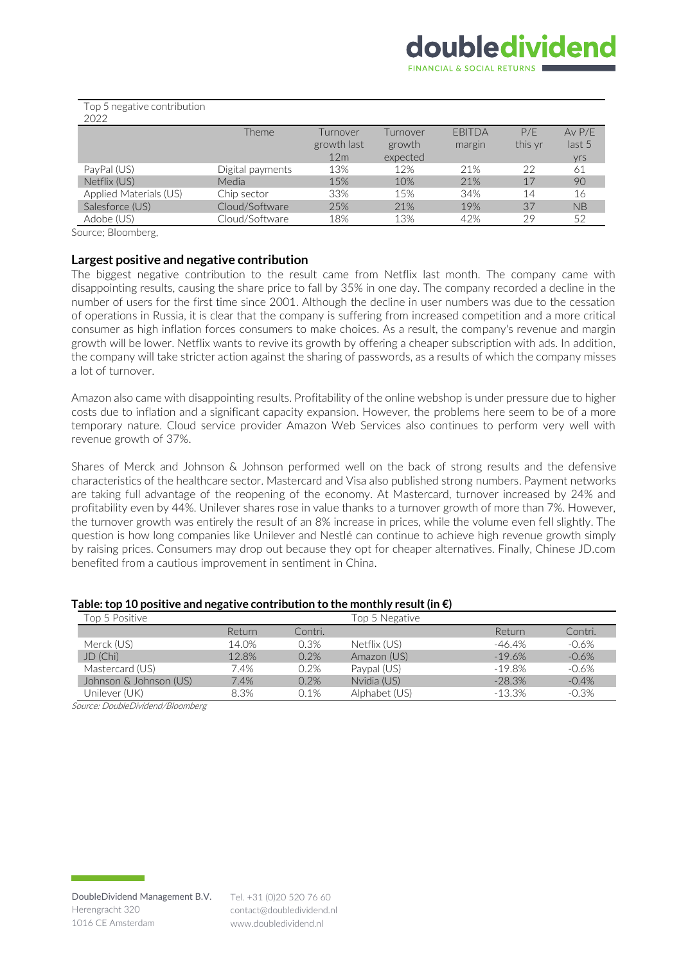| TUP J HURALIVU CUHLHDULIUH<br>2022 |                  |                 |          |               |         |                   |
|------------------------------------|------------------|-----------------|----------|---------------|---------|-------------------|
|                                    | Theme            | Turnover        | Turnover | <b>FBITDA</b> | P/F     | $Av$ $P/F$        |
|                                    |                  | growth last     | growth   | margin        | this yr | last <sub>5</sub> |
|                                    |                  | 12 <sub>m</sub> | expected |               |         | yrs               |
| PayPal (US)                        | Digital payments | 13%             | 12%      | 21%           | 22      | 61                |
| Netflix (US)                       | Media            | 15%             | 10%      | 21%           | 17      | 90                |
| Applied Materials (US)             | Chip sector      | 33%             | 15%      | 34%           | 14      | 16                |
| Salesforce (US)                    | Cloud/Software   | 25%             | 21%      | 19%           | 37      | NB                |
| Adobe (US)                         | Cloud/Software   | 18%             | 13%      | 42%           | 29      | 52                |
|                                    |                  |                 |          |               |         |                   |

Top 5 negative contribution

Source; Bloomberg,

#### **Largest positive and negative contribution**

The biggest negative contribution to the result came from Netflix last month. The company came with disappointing results, causing the share price to fall by 35% in one day. The company recorded a decline in the number of users for the first time since 2001. Although the decline in user numbers was due to the cessation of operations in Russia, it is clear that the company is suffering from increased competition and a more critical consumer as high inflation forces consumers to make choices. As a result, the company's revenue and margin growth will be lower. Netflix wants to revive its growth by offering a cheaper subscription with ads. In addition, the company will take stricter action against the sharing of passwords, as a results of which the company misses a lot of turnover.

Amazon also came with disappointing results. Profitability of the online webshop is under pressure due to higher costs due to inflation and a significant capacity expansion. However, the problems here seem to be of a more temporary nature. Cloud service provider Amazon Web Services also continues to perform very well with revenue growth of 37%.

Shares of Merck and Johnson & Johnson performed well on the back of strong results and the defensive characteristics of the healthcare sector. Mastercard and Visa also published strong numbers. Payment networks are taking full advantage of the reopening of the economy. At Mastercard, turnover increased by 24% and profitability even by 44%. Unilever shares rose in value thanks to a turnover growth of more than 7%. However, the turnover growth was entirely the result of an 8% increase in prices, while the volume even fell slightly. The question is how long companies like Unilever and Nestlé can continue to achieve high revenue growth simply by raising prices. Consumers may drop out because they opt for cheaper alternatives. Finally, Chinese JD.com benefited from a cautious improvement in sentiment in China.

#### **Table: top 10 positive and negative contribution to the monthly result(in €)**

| Top 5 Positive         |        |         | Top 5 Negative |           |         |
|------------------------|--------|---------|----------------|-----------|---------|
|                        | Return | Contri. |                | Return    | Contri. |
| Merck (US)             | 14.0%  | 0.3%    | Netflix (US)   | -46.4%    | $-0.6%$ |
| JD (Chi)               | 12.8%  | 0.2%    | Amazon (US)    | $-19.6%$  | $-0.6%$ |
| Mastercard (US)        | 7.4%   | 0.2%    | Paypal (US)    | $-19.8%$  | $-0.6%$ |
| Johnson & Johnson (US) | 7.4%   | 0.2%    | Nvidia (US)    | $-28.3%$  | $-0.4%$ |
| Unilever (UK)          | 8.3%   | 0.1%    | Alphabet (US)  | $-13.3\%$ | $-0.3%$ |

Source: DoubleDividend/Bloomberg

DoubleDividend Management B.V. Herengracht 320 1016 CE Amsterdam

Tel. +31 (0)20 520 76 60 contact@doubledividend.nl www.doubledividend.nl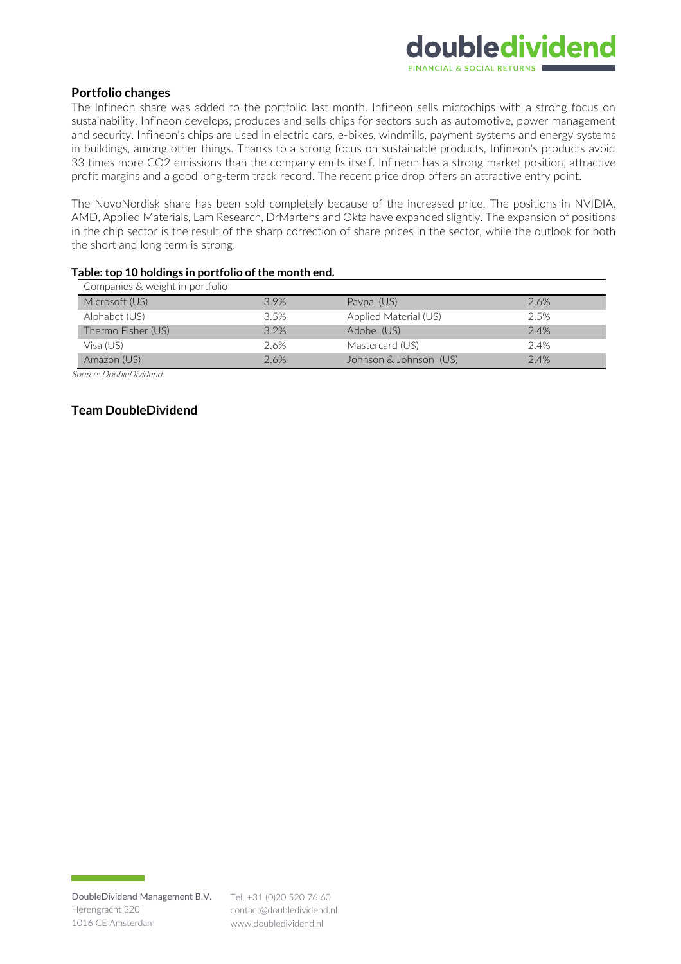# **Portfolio changes**

The Infineon share was added to the portfolio last month. Infineon sells microchips with a strong focus on sustainability. Infineon develops, produces and sells chips for sectors such as automotive, power management and security. Infineon's chips are used in electric cars, e-bikes, windmills, payment systems and energy systems in buildings, among other things. Thanks to a strong focus on sustainable products, Infineon's products avoid 33 times more CO2 emissions than the company emits itself. Infineon has a strong market position, attractive profit margins and a good long-term track record. The recent price drop offers an attractive entry point.

The NovoNordisk share has been sold completely because of the increased price. The positions in NVIDIA, AMD, Applied Materials, Lam Research, DrMartens and Okta have expanded slightly. The expansion of positions in the chip sector is the result of the sharp correction of share prices in the sector, while the outlook for both the short and long term is strong.

| Companies & weight in portfolio |      |                        |      |  |  |  |  |
|---------------------------------|------|------------------------|------|--|--|--|--|
| Microsoft (US)                  | 3.9% | Paypal (US)            | 2.6% |  |  |  |  |
| Alphabet (US)                   | 3.5% | Applied Material (US)  | 2.5% |  |  |  |  |
| Thermo Fisher (US)              | 3.2% | Adobe (US)             | 2.4% |  |  |  |  |
| Visa (US)                       | 2.6% | Mastercard (US)        | 2.4% |  |  |  |  |
| Amazon (US)                     | 2.6% | Johnson & Johnson (US) | 2.4% |  |  |  |  |

#### **Table: top 10 holdings in portfolio of the month end.**

Source: DoubleDividend

# **Team DoubleDividend**

contact@doubledividend.nl www.doubledividend.nl